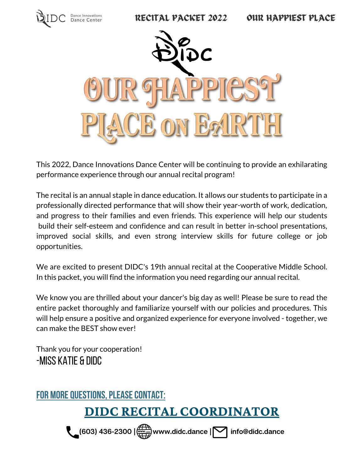

This 2022, Dance Innovations Dance Center will be continuing to provide an exhilarating performance experience through our annual recital program!

The recital is an annual staple in dance education. It allows our students to participate in a professionally directed performance that will show their year-worth of work, dedication, and progress to their families and even friends. This experience will help our students build their self-esteem and confidence and can result in better in-school presentations, improved social skills, and even strong interview skills for future college or job opportunities.

We are excited to present DIDC's 19th annual recital at the Cooperative Middle School. In this packet, you will find the information you need regarding our annual recital.

We know you are thrilled about your dancer's big day as well! Please be sure to read the entire packet thoroughly and familiarize yourself with our policies and procedures. This will help ensure a positive and organized experience for everyone involved - together, we can make the BEST show ever!

Thank you for your cooperation! -Miss Katie & DIDC

### FOR MORE QUESTIONS, PLEASE CONTACT:

## **DIDC RECITAL COORDINATOR**

**(603) 436-2300 | www.didc.dance | info@didc.dance**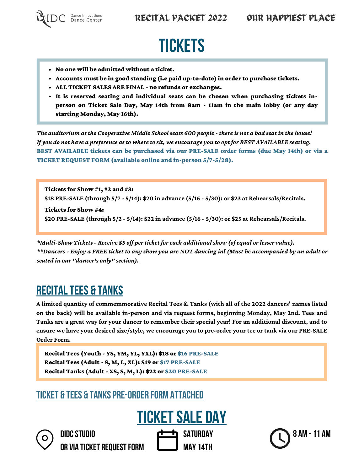

# **TICKETS**

- No one will be admitted without a ticket.
- Accounts must be in good standing (i.e paid up-to-date) in order to purchase tickets.
- ALL TICKET SALES ARE FINAL no refunds or exchanges.
- It is reserved seating and individual seats can be chosen when purchasing tickets inperson on Ticket Sale Day, May 14th from 8am - 11am in the main lobby (or any day starting Monday, May 16th).

The auditorium at the Cooperative Middle School seats 600 people - there is not a bad seat in the house! If you do not have a preference as to where to sit, we encourage you to opt for BEST AVAILABLE seating. BEST AVAILABLE tickets can be purchased via our PRE-SALE order forms (due May 14th) or via a TICKET REQUEST FORM (available online and in-person 5/7-5/28).

Tickets for Show #1, #2 and #3: **\$18 PRE-SALE (through 5/7 - 5/14): \$20 in advance (5/16 - 5/30): or \$23 at Rehearsals/Recitals.** Tickets for Show #4:

**\$20 PRE-SALE (through 5/2 - 5/14): \$22 in advance (5/16 - 5/30): or \$25 at Rehearsals/Recitals.**

*\*Multi-Show Tickets - Receive \$5 off per ticket for each additional show (of equal or lesser value).* \*\*Dancers - Enjoy a FREE ticket to any show you are NOT dancing in! (Must be accompanied by an adult or *seated in our "dancer's only" section).*

## **RECITAL TEES & TANKS**

**A limited quantity of commemmorative Recital Tees & Tanks (with all of the 2022 dancers' names listed on the back) will be available in-person and via request forms, beginning Monday, May 2nd. Tees and** Tanks are a great way for your dancer to remember their special year! For an additional discount, and to ensure we have your desired size/style, we encourage you to pre-order your tee or tank via our PRE-SALE **Order Form.**

Recital Tees (Youth - YS, YM, YL, YXL): \$18 or \$16 PRE-SALE Recital Tees (Adult- S, M, L, XL): \$19 or \$17 PRE-SALE Recital Tanks (Adult- XS, S, M, L): \$22 or \$20 PRE-SALE

### TICKET & TEES & TANKSPRE-ORDER FORM ATTACHED



**DIDCSTUDIO OR VIA TICKET REQUESTFORM**



**SATURDAY May14th**

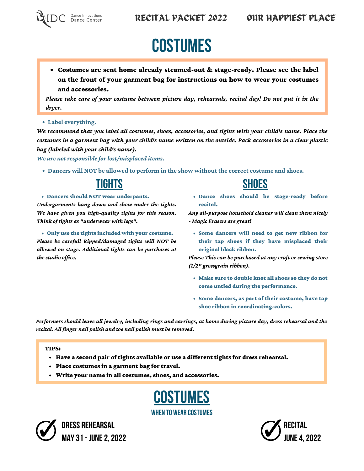

# **COSTUMES**

Costumes are sent home already steamed-out & stage-ready. Please see the label on the front of your garment bag for instructions on how to wear your costumes and accessories.

Please take care of your costume between picture day, rehearsals, recital day! Do not put it in the *dryer.*

**Label everything.**

We recommend that you label all costumes, shoes, accessories, and tights with your child's name. Place the costumes in a garment bag with your child's name written on the outside. Pack accessories in a clear plastic *bag (labeled with your child's name).*

*We are not responsible for lost/misplaced items.*

**Dancers will NOT be allowed to perform in the show without the correct costume and shoes.**

Dancers should NOT wear underpants.

*Undergarments hang down and show under the tights. We have given you high-quality tights for this reason. Think of tights as "underwear with legs".*

Only use the tights included with your costume. *Please be careful! Ripped/damaged tights will NOT be allowed on stage. Additional tights can be purchases at the studio office.*

## <u>TIGHTS</u> SHOES

Dance shoes should be stage-ready before recital.

*Any all-purpose household cleaner will clean them nicely - Magic Erasers are great!*

Some dancers will need to get new ribbon for their tap shoes if they have misplaced their original black ribbon.

*Please This can be purchased at any craft or sewing store (1/2" grossgrain ribbon).*

- Make sure to double knot all shoes so they do not come untied during the performance.
- Some dancers, as part of their costume, have tap shoe ribbon in coordinating-colors.

Performers should leave all jewelry, including rings and earrings, at home during picture day, dress rehearsal and the *recital. All finger nail polish and toe nail polish must be removed.*

### TIPS:

- Have a second pair of tights available or use a different tights for dress rehearsal.
- Place costumes in a garment bag for travel.
- Write your name in all costumes, shoes, and accessories.

**COSTUMES** WHEN TO WEAR COSTUMES



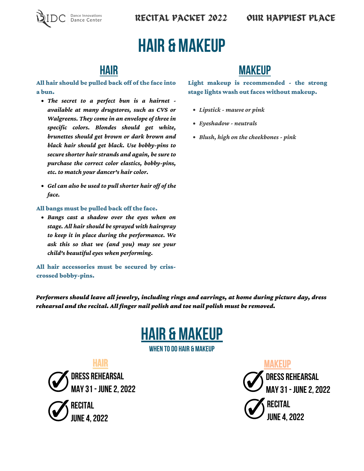



# HAIR & MAKEUP

### All hair should be pulled back off of the face into a bun.

- *The secret to a perfect bun is a hairnet available at many drugstores, such as CVS or Walgreens. They come in an envelope of three in specific colors. Blondes should get white, brunettes should get brown or dark brown and black hair should get black. Use bobby-pins to secure shorter hair strands and again, be sure to purchase the correct color elastics, bobby-pins, etc. to match your dancer's hair color.*
- *Gel can also be used to pull shorter hair off of the face.*

### All bangs must be pulled back off the face.

*Bangs cast a shadow over the eyes when on stage. All hair should be sprayed with hairspray to keep it in place during the performance. We ask this so that we (and you) may see your child's beautiful eyes when performing.*

All hair accessories must be secured by crisscrossed bobby-pins.

### HAIR MAKEUP

Light makeup is recommended - the strong stage lights wash out faces without makeup.

- *Lipstick mauve or pink*
- *Eyeshadow neutrals*
- *Blush, high on the cheekbones pink*

*Performers should leave all jewelry, including rings and earrings, at home during picture day, dress rehearsal and the recital. All finger nail polish and toe nail polish must be removed.*



WHEN TO DO HAIR & MAKEUP

**DRESS REHEARSAL MAY31- JUNE2,2022**

**RECITAL JNF 4, 2022** 

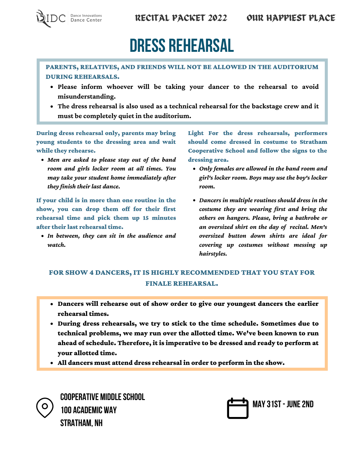

# DRESS REHEARSAL

### PARENTS, RELATIVES, AND FRIENDS WILL NOT BE ALLOWED IN THE AUDITORIUM DURING REHEARSALS.

- **Please inform whoever will be taking your dancer to the rehearsal to avoid misunderstanding.**
- **The dress rehearsal is also used as a technical rehearsal for the backstage crew and it must be completely quiet in the auditorium.**

During dress rehearsal only, parents may bring young students to the dressing area and wait while they rehearse.

*Men are asked to please stay out of the band room and girls locker room at all times. You may take your student home immediately after they finish their last dance.*

If your child is in more than one routine in the show, you can drop them off for their first rehearsal time and pick them up 15 minutes after their last rehearsal time.

*In between, they can sit in the audience and watch.*

Light For the dress rehearsals, performers should come dressed in costume to Stratham Cooperative School and follow the signs to the dressing area.

- *Only females are allowed in the band room and girl's locker room. Boys may use the boy's locker room.*
- *Dancers in multiple routines should dress in the costume they are wearing first and bring the others on hangers. Please, bring a bathrobe or an oversized shirt on the day of recital. Men's oversized button down shirts are ideal for covering up costumes without messing up hairstyles.*

### FOR SHOW 4 DANCERS, IT IS HIGHLY RECOMMENDED THAT YOU STAY FOR FINALE REHEARSAL.

- Dancers will rehearse out of show order to give our youngest dancers the earlier rehearsal times.
- During dress rehearsals, we try to stick to the time schedule. Sometimes due to technical problems, we may run over the allotted time. We've been known to run ahead of schedule. Therefore, it is imperative to be dressed and ready to perform at your allotted time.
- All dancers must attend dress rehearsal in order to perform in the show.

**COOPERATIVE MIDDLESCHOOL 100 ACADEMIC WAY STRATHAM, NH**

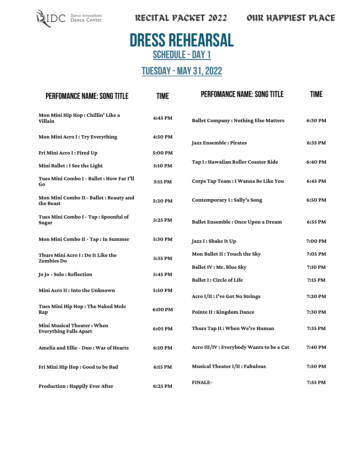

## DRESS REHEARSAL SCHEDULE - DAY 1

### TUESDAY- MAY31,2022

| <b>PERFOMANCE NAME: SONG TITLE</b>                          | <b>TIME</b> | <b>PERFOMANCE NAME: SONG TITLE</b>          | TIME    |
|-------------------------------------------------------------|-------------|---------------------------------------------|---------|
| Mon Mini Hip Hop: Chillin' Like a<br>Villain                | 4:45 PM     | <b>Ballet Company: Nothing Else Matters</b> | 6:30 PM |
| Mon Mini Acro I: Try Everything                             | 4:50 PM     | Jazz Ensemble: Pirates                      | 6:35 PM |
| Fri Mini Acro I: Fired Up                                   | 5:00 PM     |                                             |         |
| Mini Ballet : I See the Light                               | 5:10 PM     | Tap I: Hawaiian Roller Coaster Ride         | 6:40 PM |
| <b>Tues Mini Combo I - Ballet : How Far I'll</b><br>Go      | 5:15 PM     | Corps Tap Team : I Wanna Be Like You        | 6:45 PM |
| Mon Mini Combo II - Ballet : Beauty and<br>the Beast        | 5:20 PM     | Contemporary I: Sally's Song                | 6:50 PM |
| Tues Mini Combo I - Tap: Spoonful of<br>Sugar               | 5:25 PM     | Ballet Ensemble: Once Upon a Dream          | 6:55 PM |
| Mon Mini Combo II - Tap: In Summer                          | 5:30 PM     | Jazz I: Shake It Up                         | 7:00 PM |
| Thurs Mini Acro I : Do It Like the<br><b>Zombies Do</b>     | 5:35 PM     | Mon Ballet II : Touch the Sky               | 7:05 PM |
|                                                             |             | Ballet IV : Mr. Blue Sky                    | 7:10 PM |
| Jo Jo - Solo: Reflection                                    | 5:45 PM     | Ballet I: Circle of Life                    | 7:15 PM |
| Mini Acro II : Into the Unknown                             | 5:50 PM     | Acro I/II : I've Got No Strings             | 7:20 PM |
| Tues Mini Hip Hop: The Naked Mole<br>Rap                    | 6:00 PM     | Pointe II : Kingdom Dance                   | 7:30 PM |
| Mini Musical Theater: When<br><b>Everything Falls Apart</b> | 6:05 PM     | Thurs Tap II: When We're Human              | 7:35 PM |
| Amelia and Ellie - Duo: War of Hearts                       | 6:10 PM     | Acro III/IV : Everybody Wants to be a Cat   | 7:40 PM |
| Fri Mini Hip Hop: Good to be Bad                            | 6:15 PM     | Musical Theater I/II: Fabulous              | 7:50 PM |
| <b>Production: Happily Ever After</b>                       | 6:25 PM     | <b>FINALE-</b>                              | 7:55 PM |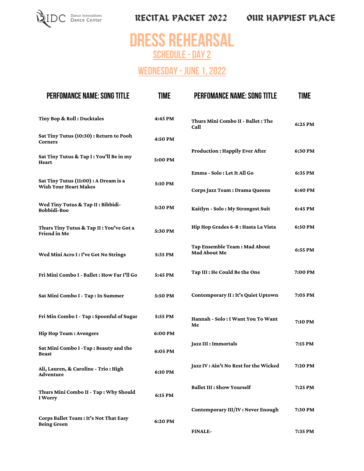

## DRESS REHEARSAL SCHEDULE - DAY 2

### WEDNESDAY - JUNE 1, 2022

| <b>PERFOMANCE NAME: SONG TITLE</b>                                    | <b>TIME</b> | <b>PERFOMANCE NAME: SONG TITLE</b>                  | TIME    |
|-----------------------------------------------------------------------|-------------|-----------------------------------------------------|---------|
| Tiny Bop & Roll: Ducktales                                            | 4:45 PM     | Thurs Mini Combo II - Ballet : The<br>Call          | 6:25 PM |
| Sat Tiny Tutus (10:30) : Return to Pooh<br><b>Corners</b>             | 4:50 PM     |                                                     |         |
| Sat Tiny Tutus & Tap I: You'll Be in my<br>Heart                      | 5:00 PM     | <b>Production: Happily Ever After</b>               | 6:30 PM |
|                                                                       |             | Emma - Solo : Let It All Go                         | 6:35 PM |
| Sat Tiny Tutus (11:00) : A Dream is a<br><b>Wish Your Heart Makes</b> | 5:10 PM     | Corps Jazz Team: Drama Queens                       | 6:40 PM |
| Wed Tiny Tutus & Tap II: Bibbidi-<br>Bobbidi-Boo                      | 5:20 PM     | Kaitlyn - Solo: My Strongest Suit                   | 6:45 PM |
| Thurs Tiny Tutus & Tap II: You've Got a<br>Friend in Me               | 5:30 PM     | Hip Hop Grades 6-8 : Hasta La Vista                 | 6:50 PM |
| Wed Mini Acro I: I've Got No Strings                                  | 5:35 PM     | Tap Ensemble Team: Mad About<br><b>Mad About Me</b> | 6:55 PM |
| Fri Mini Combo I - Ballet : How Far I'll Go                           | 5:45 PM     | Tap III : He Could Be the One                       | 7:00 PM |
| Sat Mini Combo I - Tap: In Summer                                     | 5:50 PM     | Contemporary II : It's Quiet Uptown                 | 7:05 PM |
| Fri Min Combo I - Tap: Spoonful of Sugar                              | 5:55 PM     | Hannah - Solo: I Want You To Want<br>Me             | 7:10 PM |
| <b>Hip Hop Team: Avengers</b>                                         | 6:00 PM     |                                                     |         |
| Sat Mini Combo I -Tap: Beauty and the<br><b>Beast</b>                 | 6:05 PM     | Jazz III : Immortals                                | 7:15 PM |
| Ali, Lauren, & Caroline - Trio: High<br>Adventure                     | 6:10 PM     | Jazz IV : Ain't No Rest for the Wicked              | 7:20 PM |
| Thurs Mini Combo II - Tap: Why Should<br>I Worry                      | 6:15 PM     | <b>Ballet III : Show Yourself</b>                   | 7:25 PM |
| Corps Ballet Team : It's Not That Easy                                |             | Contemporary III/IV: Never Enough                   | 7:30 PM |
| <b>Being Green</b>                                                    | 6:20 PM     | <b>FINALE-</b>                                      | 7:35 PM |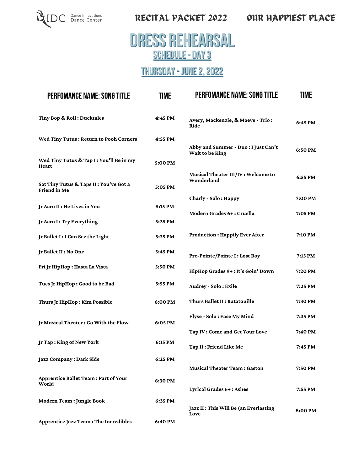

## DRESS REHEARSAL SCHEDULE - DAY 3

### THURSDAY - JUNE 2, 2022

| <b>PERFOMANCE NAME: SONG TITLE</b>                     | <b>TIME</b> | <b>PERFOMANCE NAME: SONG TITLE</b>               | TIME    |
|--------------------------------------------------------|-------------|--------------------------------------------------|---------|
| Tiny Bop & Roll: Ducktales                             | 4:45 PM     | Avery, Mackenzie, & Maeve - Trio:<br>Ride        | 6:45 PM |
| Wed Tiny Tutus: Return to Pooh Corners                 | 4:55 PM     | Abby and Summer - Duo : I Just Can't             | 6:50 PM |
| Wed Tiny Tutus & Tap I: You'll Be in my<br>Heart       | 5:00 PM     | Wait to be King                                  |         |
| Sat Tiny Tutus & Taps II: You've Got a<br>Friend in Me | 5:05 PM     | Musical Theater III/IV: Welcome to<br>Wonderland | 6:55 PM |
|                                                        |             | Charly - Solo: Happy                             | 7:00 PM |
| Jr Acro II : He Lives in You                           | 5:15 PM     | Modern Grades 6+: Cruella                        | 7:05 PM |
| Jr Acro I: Try Everything                              | 5:25 PM     |                                                  |         |
| Jr Ballet I: I Can See the Light                       | 5:35 PM     | <b>Production: Happily Ever After</b>            | 7:10 PM |
| Jr Ballet II : No One                                  | 5:45 PM     | Pre-Pointe/Pointe I: Lost Boy                    | 7:15 PM |
| Fri Jr HipHop : Hasta La Vista                         | 5:50 PM     | HipHop Grades 9+: It's Goin' Down                | 7:20 PM |
| Tues Jr HipHop: Good to be Bad                         | 5:55 PM     | Audrey - Solo: Exile                             | 7:25 PM |
| Thurs Jr HipHop: Kim Possible                          | 6:00 PM     | Thurs Ballet II: Ratatouille                     | 7:30 PM |
| Jr Musical Theater: Go With the Flow                   | 6:05 PM     | Elyse - Solo: Ease My Mind                       | 7:35 PM |
|                                                        |             | Tap IV: Come and Get Your Love                   | 7:40 PM |
| Jr Tap: King of New York                               | 6:15 PM     | Tap II : Friend Like Me                          | 7:45 PM |
| Jazz Company: Dark Side                                | 6:25 PM     |                                                  |         |
|                                                        |             | <b>Musical Theater Team: Gaston</b>              | 7:50 PM |
| <b>Apprentice Ballet Team: Part of Your</b><br>World   | 6:30 PM     | Lyrical Grades 6+: Ashes                         | 7:55 PM |
| Modern Team : Jungle Book                              | 6:35 PM     |                                                  |         |
|                                                        |             | Jazz II : This Will Be (an Everlasting<br>Love   | 8:00 PM |
| Apprentice Jazz Team: The Incredibles                  | 6:40 PM     |                                                  |         |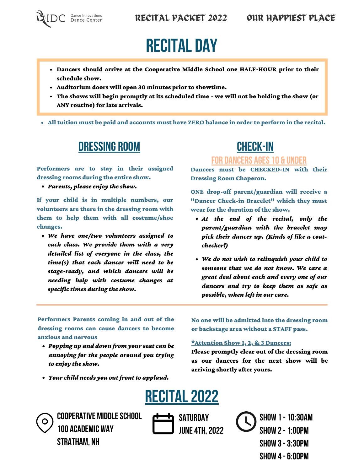

# RECITAL DAY

- Dancers should arrive at the Cooperative Middle School one HALF-HOUR prior to their schedule show.
- Auditorium doors will open 30 minutes prior to showtime.
- The shows will begin promptly at its scheduled time we will not be holding the show (or ANY routine) for late arrivals.

All tuition must be paid and accounts must have ZERO balance in order to perform in the recital.

### DRESSING ROOM CHECK-IN

Performers are to stay in their assigned dressing rooms during the entire show.

*Parents, please enjoy the show.*

If your child is in multiple numbers, our volunteers are there in the dressing room with them to help them with all costume/shoe changes.

*We have one/two volunteers assigned to each class. We provide them with a very detailed list of everyone in the class, the time(s) that each dancer will need to be stage-ready, and which dancers will be needing help with costume changes at specific times during the show.*

### FOR DANCERS AGES10 & UNDER

Dancers must be CHECKED-IN with their Dressing Room Chaperon.

ONE drop-off parent/guardian will receive a "Dancer Check-in Bracelet" which they must wear for the duration of the show.

- *At the end of the recital, only the parent/guardian with the bracelet may pick their dancer up. (Kinds of like a coatchecker!)*
- *We do not wish to relinquish your child to someone that we do not know. We care a great deal about each and every one of our dancers and try to keep them as safe as possible, when left in our care.*

Performers Parents coming in and out of the dressing rooms can cause dancers to become anxious and nervous

- *Popping up and down from your seat can be annoying for the people around you trying to enjoy the show.*
- *Your child needs you out front to applaud.*

No one will be admitted into the dressing room or backstage area without a STAFF pass.

#### \*Attention Show 1, 2, & 3 Dancers:

Please promptly clear out of the dressing room as our dancers for the next show will be arriving shortly after yours.





**COOPERATIVE MIDDLESCHOOL 100 ACADEMIC WAY STRATHAM, NH**



**Show 1-10:30am Show 2-1:00pm Show 3-3:30pm Show 4-6:00pm**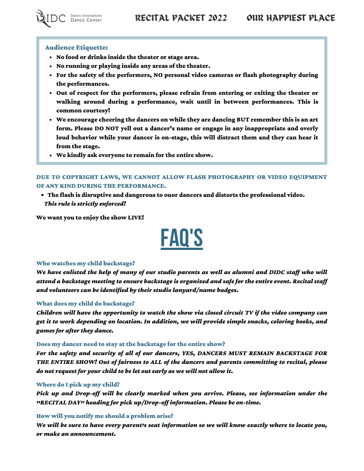

#### Audience Etiquette:

- No food or drinks inside the theater or stage area.
- No running or playing inside any areas of the theater.
- For the safety of the performers, NO personal video cameras or flash photography during the performances.
- Out of respect for the performers, please refrain from entering or exiting the theater or walking around during a performance, wait until in between performances. This is common courtesy!
- We encourage cheering the dancers on while they are dancing BUT remember this is an art form. Please DO NOT yell out a dancer's name or engage in any inappropriate and overly loud behavior while your dancer is on-stage, this will distract them and they can hear it from the stage.
- We kindly ask everyone to remain for the entire show.

### DUE TO COPYRIGHT LAWS, WE CANNOT ALLOW FLASH PHOTOGRAPHY OR VIDEO EQUIPMENT OF ANY KIND DURING THE PERFORMANCE.

The flash is disruptive and dangerous to ouor dancers and distorts the professional video. *This rule is strictly enforced!*

We want you to enjoy the show LIVE!



#### Who watches my child backstage?

*We have enlisted the help of many of our studio parents as well as alumni and DIDC staff who will attend a backstage meeting to ensure backstage is organized and safe for the entire event. Recital staff and volunteers can be identified by their studio lanyard/name badges.*

### What does my child do backstage?

*Children will have the opportunity to watch the show via closed circuit TV if the video company can get it to work depending on location. In addition, we will provide simple snacks, coloring books, and games for after they dance.*

#### Does my dancer need to stay at the backstage for the entire show?

*For the safety and security of all of our dancers, YES, DANCERS MUST REMAIN BACKSTAGE FOR THE ENTIRE SHOW! Out of fairness to ALL of the dancers and parents committing to recital, please do not request for your child to be let out early as we will not allow it.*

### Where do I pick up my child?

*Pick up and Drop-off will be clearly marked when you arrive. Please, see information under the "RECITAL DAY" heading for pick up/Drop-off information. Please be on-time.*

### How will you notify me should a problem arise?

*We will be sure to have every parent's seat information so we will know exactly where to locate you, or make an announcement.*